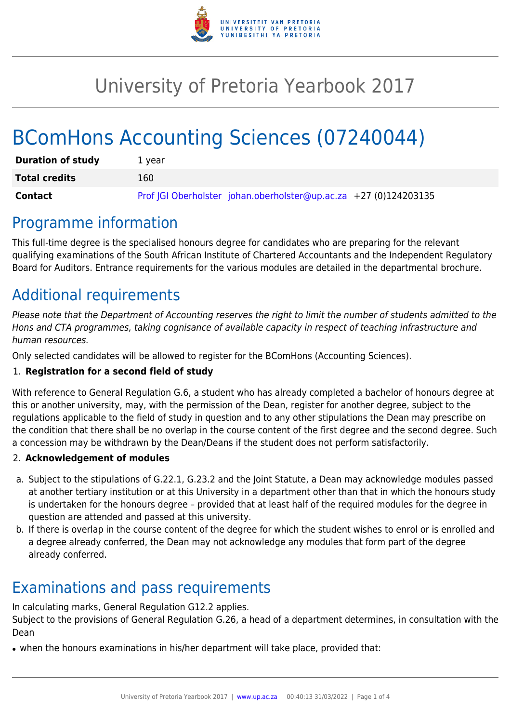

## University of Pretoria Yearbook 2017

# BComHons Accounting Sciences (07240044)

| <b>Duration of study</b> | 1 vear                                                           |
|--------------------------|------------------------------------------------------------------|
| <b>Total credits</b>     | 160                                                              |
| Contact                  | Prof JGI Oberholster johan.oberholster@up.ac.za +27 (0)124203135 |

### Programme information

This full-time degree is the specialised honours degree for candidates who are preparing for the relevant qualifying examinations of the South African Institute of Chartered Accountants and the Independent Regulatory Board for Auditors. Entrance requirements for the various modules are detailed in the departmental brochure.

### Additional requirements

Please note that the Department of Accounting reserves the right to limit the number of students admitted to the Hons and CTA programmes, taking cognisance of available capacity in respect of teaching infrastructure and human resources.

Only selected candidates will be allowed to register for the BComHons (Accounting Sciences).

#### 1. **Registration for a second field of study**

With reference to General Regulation G.6, a student who has already completed a bachelor of honours degree at this or another university, may, with the permission of the Dean, register for another degree, subject to the regulations applicable to the field of study in question and to any other stipulations the Dean may prescribe on the condition that there shall be no overlap in the course content of the first degree and the second degree. Such a concession may be withdrawn by the Dean/Deans if the student does not perform satisfactorily.

#### 2. **Acknowledgement of modules**

- a. Subject to the stipulations of G.22.1, G.23.2 and the Joint Statute, a Dean may acknowledge modules passed at another tertiary institution or at this University in a department other than that in which the honours study is undertaken for the honours degree – provided that at least half of the required modules for the degree in question are attended and passed at this university.
- b. If there is overlap in the course content of the degree for which the student wishes to enrol or is enrolled and a degree already conferred, the Dean may not acknowledge any modules that form part of the degree already conferred.

## Examinations and pass requirements

In calculating marks, General Regulation G12.2 applies.

Subject to the provisions of General Regulation G.26, a head of a department determines, in consultation with the Dean

• when the honours examinations in his/her department will take place, provided that: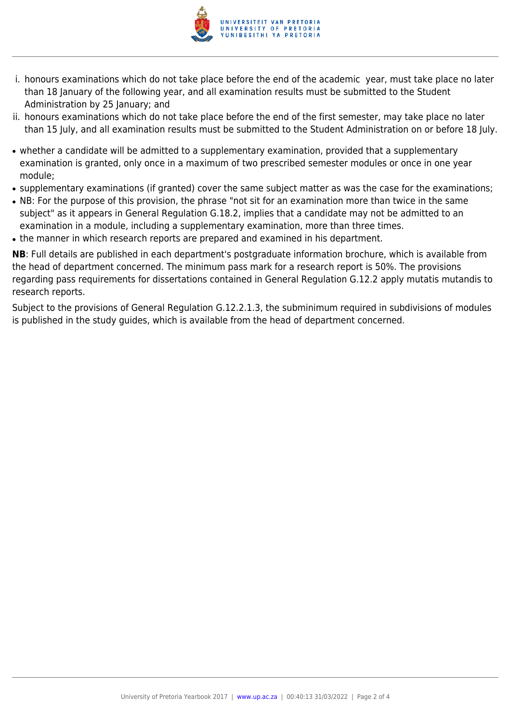

- i. honours examinations which do not take place before the end of the academic year, must take place no later than 18 January of the following year, and all examination results must be submitted to the Student Administration by 25 January; and
- ii. honours examinations which do not take place before the end of the first semester, may take place no later than 15 July, and all examination results must be submitted to the Student Administration on or before 18 July.
- whether a candidate will be admitted to a supplementary examination, provided that a supplementary examination is granted, only once in a maximum of two prescribed semester modules or once in one year module;
- supplementary examinations (if granted) cover the same subject matter as was the case for the examinations;
- NB: For the purpose of this provision, the phrase "not sit for an examination more than twice in the same subject" as it appears in General Regulation G.18.2, implies that a candidate may not be admitted to an examination in a module, including a supplementary examination, more than three times.
- the manner in which research reports are prepared and examined in his department.

**NB**: Full details are published in each department's postgraduate information brochure, which is available from the head of department concerned. The minimum pass mark for a research report is 50%. The provisions regarding pass requirements for dissertations contained in General Regulation G.12.2 apply mutatis mutandis to research reports.

Subject to the provisions of General Regulation G.12.2.1.3, the subminimum required in subdivisions of modules is published in the study guides, which is available from the head of department concerned.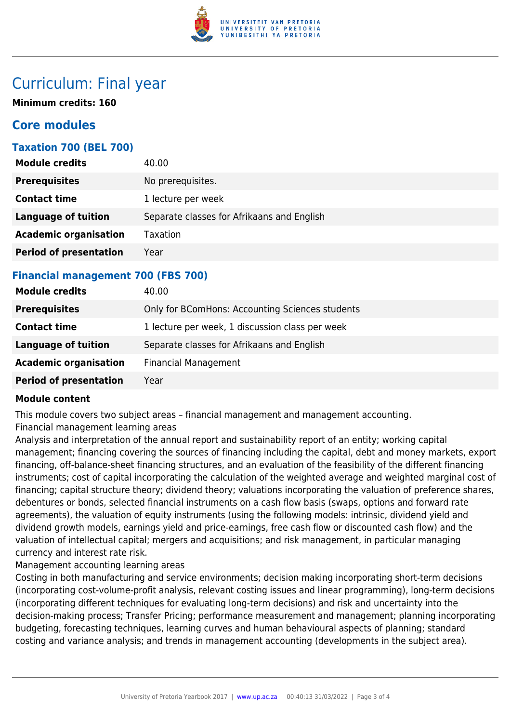

### Curriculum: Final year

**Minimum credits: 160**

### **Core modules**

### **Taxation 700 (BEL 700)**

| <b>Module credits</b>         | 40.00                                      |
|-------------------------------|--------------------------------------------|
| <b>Prerequisites</b>          | No prerequisites.                          |
| <b>Contact time</b>           | 1 lecture per week                         |
| <b>Language of tuition</b>    | Separate classes for Afrikaans and English |
| <b>Academic organisation</b>  | <b>Taxation</b>                            |
| <b>Period of presentation</b> | Year                                       |
|                               |                                            |

### **Financial management 700 (FBS 700)**

| <b>Module credits</b>         | 40.00                                           |
|-------------------------------|-------------------------------------------------|
| <b>Prerequisites</b>          | Only for BComHons: Accounting Sciences students |
| <b>Contact time</b>           | 1 lecture per week, 1 discussion class per week |
| <b>Language of tuition</b>    | Separate classes for Afrikaans and English      |
| <b>Academic organisation</b>  | <b>Financial Management</b>                     |
| <b>Period of presentation</b> | Year                                            |

#### **Module content**

This module covers two subject areas – financial management and management accounting.

#### Financial management learning areas

Analysis and interpretation of the annual report and sustainability report of an entity; working capital management; financing covering the sources of financing including the capital, debt and money markets, export financing, off-balance-sheet financing structures, and an evaluation of the feasibility of the different financing instruments; cost of capital incorporating the calculation of the weighted average and weighted marginal cost of financing; capital structure theory; dividend theory; valuations incorporating the valuation of preference shares, debentures or bonds, selected financial instruments on a cash flow basis (swaps, options and forward rate agreements), the valuation of equity instruments (using the following models: intrinsic, dividend yield and dividend growth models, earnings yield and price-earnings, free cash flow or discounted cash flow) and the valuation of intellectual capital; mergers and acquisitions; and risk management, in particular managing currency and interest rate risk.

Management accounting learning areas

Costing in both manufacturing and service environments; decision making incorporating short-term decisions (incorporating cost-volume-profit analysis, relevant costing issues and linear programming), long-term decisions (incorporating different techniques for evaluating long-term decisions) and risk and uncertainty into the decision-making process; Transfer Pricing; performance measurement and management; planning incorporating budgeting, forecasting techniques, learning curves and human behavioural aspects of planning; standard costing and variance analysis; and trends in management accounting (developments in the subject area).